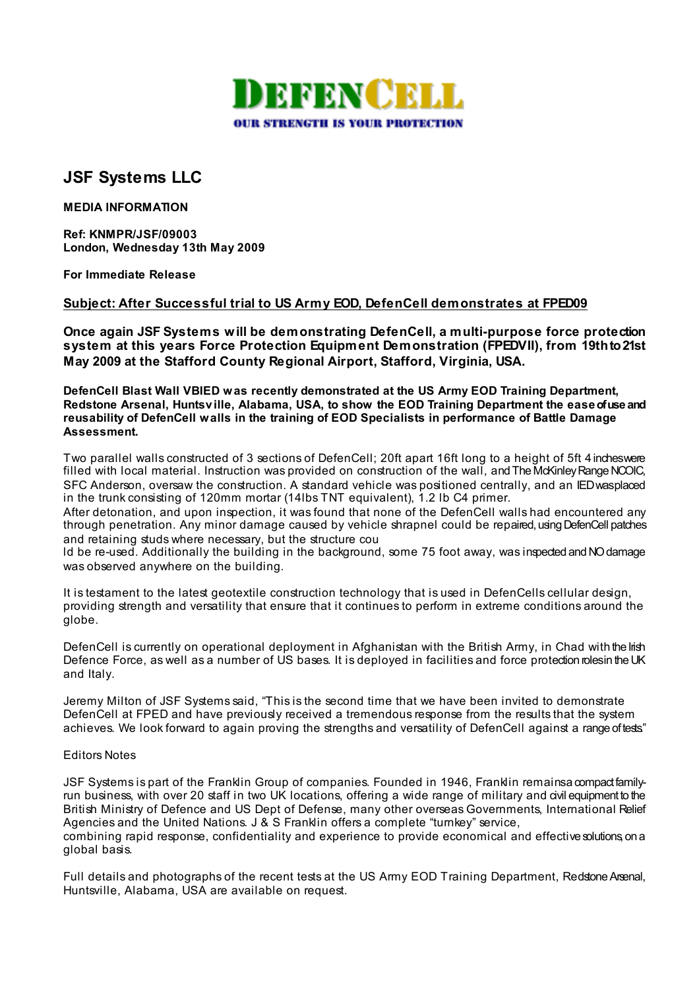

## **JSF Systems LLC**

**MEDIA INFORMATION** 

**Ref: KNMPR/JSF/09003 London, Wednesday 13th May 2009** 

**For Immediate Release**

## **Subject: After Successful trial to US Army EOD, DefenCell demonstrates at FPED09**

**Once again JSF Systems will be demonstrating DefenCell, a multi-purpose force protection system at this years Force Protection Equipment Demonstration (FPEDVII), from 19th to 21st May 2009 at the Stafford County Regional Airport, Stafford, Virginia, USA.** 

**DefenCell Blast Wall VBIED was recently demonstrated at the US Army EOD Training Department, Redstone Arsenal, Huntsv ille, Alabama, USA, to show the EOD Training Department the ease of use and reusability of DefenCell walls in the training of EOD Specialists in performance of Battle Damage Assessment.** 

Two parallel walls constructed of 3 sections of DefenCell; 20ft apart 16ft long to a height of 5ft 4 inches were filled with local material. Instruction was provided on construction of the wall, and The McKinley Range NCOIC, SFC Anderson, oversaw the construction. A standard vehicle was positioned centrally, and an IED was placed in the trunk consisting of 120mm mortar (14lbs TNT equivalent), 1.2 lb C4 primer.

After detonation, and upon inspection, it was found that none of the DefenCell walls had encountered any through penetration. Any minor damage caused by vehicle shrapnel could be repaired, using DefenCell patches and retaining studs where necessary, but the structure cou

ld be re-used. Additionally the building in the background, some 75 foot away, was inspected and NO damage was observed anywhere on the building.

It is testament to the latest geotextile construction technology that is used in DefenCells cellular design, providing strength and versatility that ensure that it continues to perform in extreme conditions around the globe.

DefenCell is currently on operational deployment in Afghanistan with the British Army, in Chad with the lish Defence Force, as well as a number of US bases. It is deployed in facilities and force protection roles in the UK and Italy.

Jeremy Milton of JSF Systems said, "This is the second time that we have been invited to demonstrate DefenCell at FPED and have previously received a tremendous response from the results that the system achieves. We look forward to again proving the strengths and versatility of DefenCell against a range of tests"

## Editors Notes

JSF Systems is part of the Franklin Group of companies. Founded in 1946, Franklin remains a compact familyrun business, with over 20 staff in two UK locations, offering a wide range of military and civil equipment to the British Ministry of Defence and US Dept of Defense, many other overseas Governments, International Relief Agencies and the United Nations. J & S Franklin offers a complete "turnkey" service, combining rapid response, confidentiality and experience to provide economical and effective solutions on a global basis.

Full details and photographs of the recent tests at the US Army EOD Training Department, Redstone Arsenal, Huntsville, Alabama, USA are available on request.